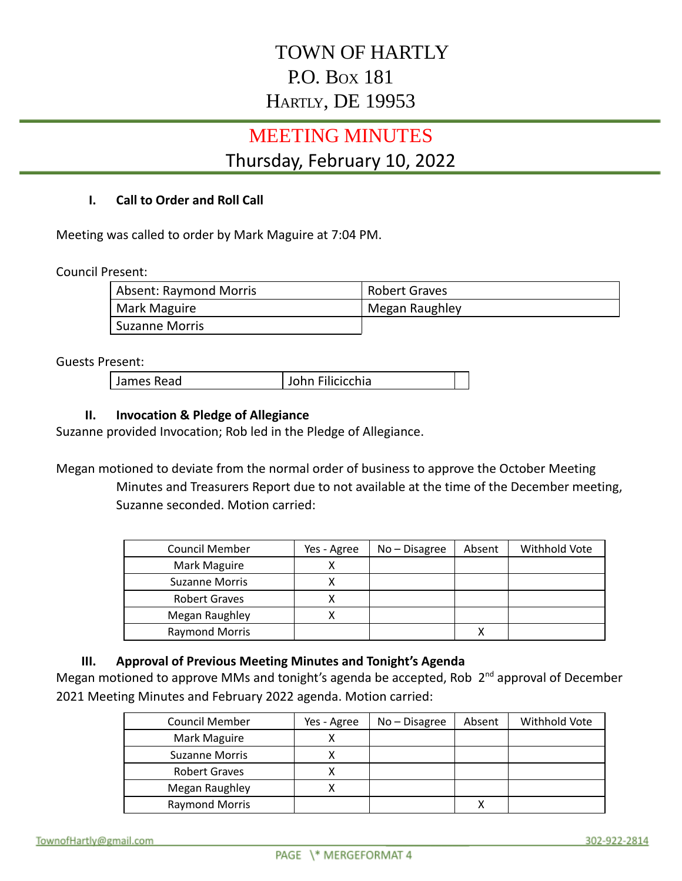# TOWN OF HARTLY P.O. BOX 181 HARTLY, DE 19953

# MEETING MINUTES

## Thursday, February 10, 2022

#### **I. Call to Order and Roll Call**

Meeting was called to order by Mark Maguire at 7:04 PM.

Council Present:

| Absent: Raymond Morris | <b>Robert Graves</b> |
|------------------------|----------------------|
| Mark Maguire           | Megan Raughley       |
| <b>Suzanne Morris</b>  |                      |

#### Guests Present:

James Read John Filicicchia

#### **II. Invocation & Pledge of Allegiance**

Suzanne provided Invocation; Rob led in the Pledge of Allegiance.

Megan motioned to deviate from the normal order of business to approve the October Meeting Minutes and Treasurers Report due to not available at the time of the December meeting, Suzanne seconded. Motion carried:

| <b>Council Member</b> | Yes - Agree | $No - Disagree$ | Absent | Withhold Vote |
|-----------------------|-------------|-----------------|--------|---------------|
| Mark Maguire          | ν           |                 |        |               |
| <b>Suzanne Morris</b> |             |                 |        |               |
| <b>Robert Graves</b>  |             |                 |        |               |
| Megan Raughley        |             |                 |        |               |
| <b>Raymond Morris</b> |             |                 |        |               |

#### **III. Approval of Previous Meeting Minutes and Tonight's Agenda**

Megan motioned to approve MMs and tonight's agenda be accepted, Rob 2<sup>nd</sup> approval of December 2021 Meeting Minutes and February 2022 agenda. Motion carried:

| <b>Council Member</b> | Yes - Agree | $No - Disagree$ | Absent | Withhold Vote |
|-----------------------|-------------|-----------------|--------|---------------|
| Mark Maguire          |             |                 |        |               |
| <b>Suzanne Morris</b> |             |                 |        |               |
| <b>Robert Graves</b>  |             |                 |        |               |
| Megan Raughley        |             |                 |        |               |
| <b>Raymond Morris</b> |             |                 |        |               |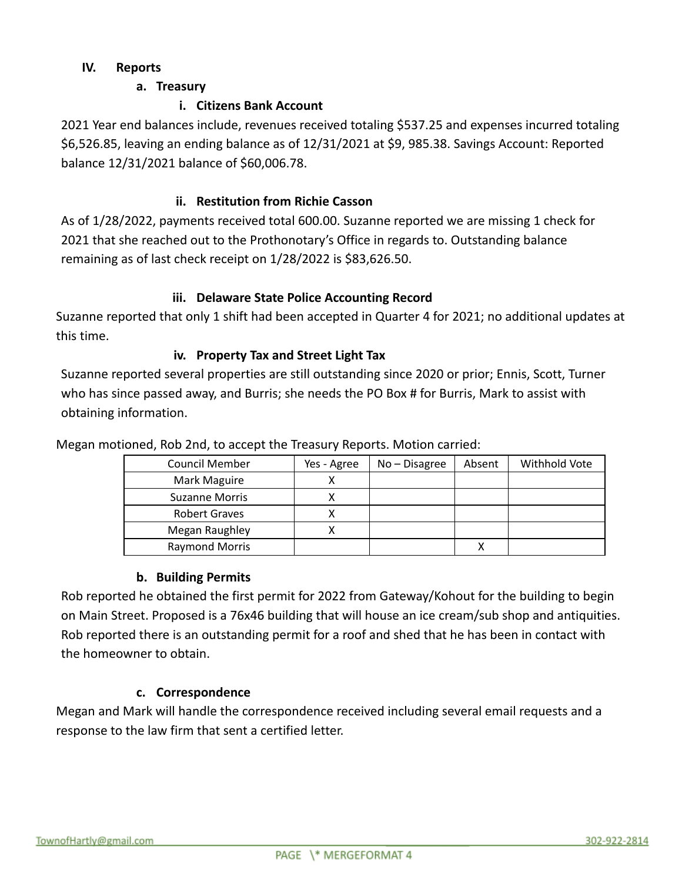### **IV. Reports**

## **a. Treasury**

## **i. Citizens Bank Account**

2021 Year end balances include, revenues received totaling \$537.25 and expenses incurred totaling \$6,526.85, leaving an ending balance as of 12/31/2021 at \$9, 985.38. Savings Account: Reported balance 12/31/2021 balance of \$60,006.78.

## **ii. Restitution from Richie Casson**

As of 1/28/2022, payments received total 600.00. Suzanne reported we are missing 1 check for 2021 that she reached out to the Prothonotary's Office in regards to. Outstanding balance remaining as of last check receipt on 1/28/2022 is \$83,626.50.

### **iii. Delaware State Police Accounting Record**

Suzanne reported that only 1 shift had been accepted in Quarter 4 for 2021; no additional updates at this time.

### **iv. Property Tax and Street Light Tax**

Suzanne reported several properties are still outstanding since 2020 or prior; Ennis, Scott, Turner who has since passed away, and Burris; she needs the PO Box # for Burris, Mark to assist with obtaining information.

| Council Member        | Yes - Agree | $No - Disagree$ | Absent | Withhold Vote |
|-----------------------|-------------|-----------------|--------|---------------|
| Mark Maguire          |             |                 |        |               |
| <b>Suzanne Morris</b> |             |                 |        |               |
| <b>Robert Graves</b>  |             |                 |        |               |
| Megan Raughley        |             |                 |        |               |
| <b>Raymond Morris</b> |             |                 |        |               |

Megan motioned, Rob 2nd, to accept the Treasury Reports. Motion carried:

#### **b. Building Permits**

Rob reported he obtained the first permit for 2022 from Gateway/Kohout for the building to begin on Main Street. Proposed is a 76x46 building that will house an ice cream/sub shop and antiquities. Rob reported there is an outstanding permit for a roof and shed that he has been in contact with the homeowner to obtain.

## **c. Correspondence**

Megan and Mark will handle the correspondence received including several email requests and a response to the law firm that sent a certified letter.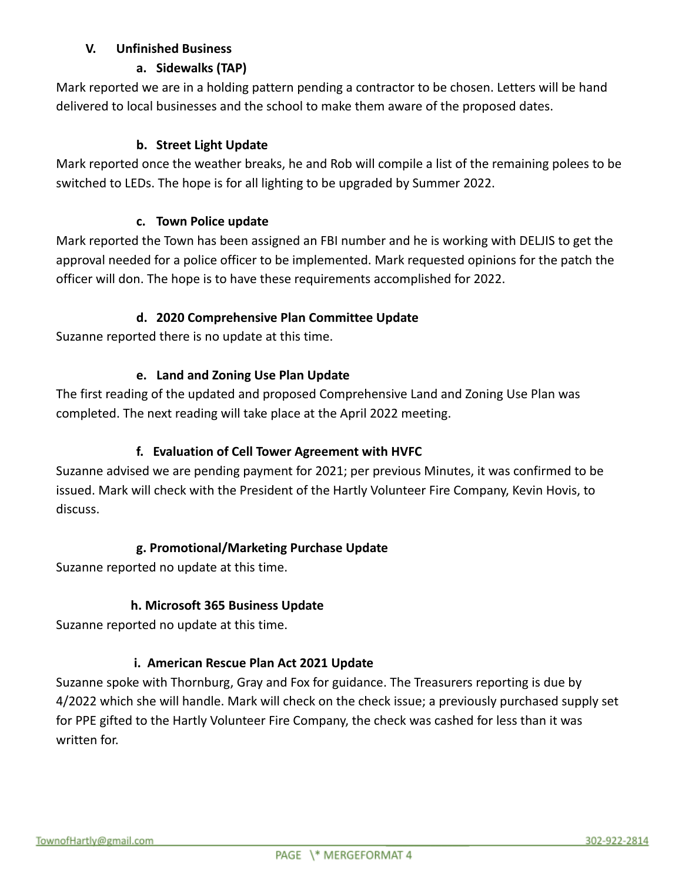## **V. Unfinished Business**

## **a. Sidewalks (TAP)**

Mark reported we are in a holding pattern pending a contractor to be chosen. Letters will be hand delivered to local businesses and the school to make them aware of the proposed dates.

## **b. Street Light Update**

Mark reported once the weather breaks, he and Rob will compile a list of the remaining polees to be switched to LEDs. The hope is for all lighting to be upgraded by Summer 2022.

### **c. Town Police update**

Mark reported the Town has been assigned an FBI number and he is working with DELJIS to get the approval needed for a police officer to be implemented. Mark requested opinions for the patch the officer will don. The hope is to have these requirements accomplished for 2022.

### **d. 2020 Comprehensive Plan Committee Update**

Suzanne reported there is no update at this time.

### **e. Land and Zoning Use Plan Update**

The first reading of the updated and proposed Comprehensive Land and Zoning Use Plan was completed. The next reading will take place at the April 2022 meeting.

## **f. Evaluation of Cell Tower Agreement with HVFC**

Suzanne advised we are pending payment for 2021; per previous Minutes, it was confirmed to be issued. Mark will check with the President of the Hartly Volunteer Fire Company, Kevin Hovis, to discuss.

## **g. Promotional/Marketing Purchase Update**

Suzanne reported no update at this time.

## **h. Microsoft 365 Business Update**

Suzanne reported no update at this time.

## **i. American Rescue Plan Act 2021 Update**

Suzanne spoke with Thornburg, Gray and Fox for guidance. The Treasurers reporting is due by 4/2022 which she will handle. Mark will check on the check issue; a previously purchased supply set for PPE gifted to the Hartly Volunteer Fire Company, the check was cashed for less than it was written for.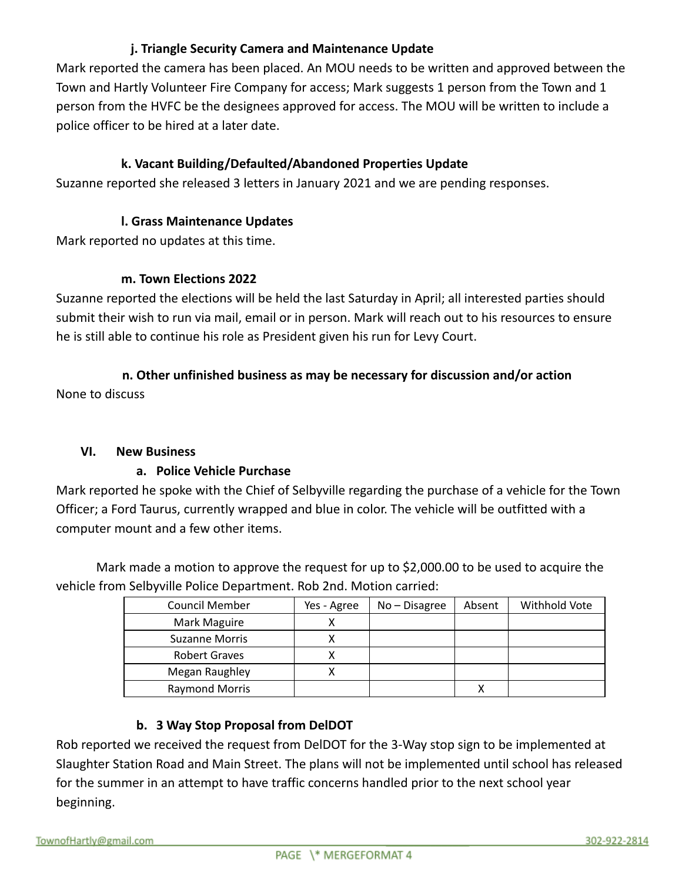## **j. Triangle Security Camera and Maintenance Update**

Mark reported the camera has been placed. An MOU needs to be written and approved between the Town and Hartly Volunteer Fire Company for access; Mark suggests 1 person from the Town and 1 person from the HVFC be the designees approved for access. The MOU will be written to include a police officer to be hired at a later date.

#### **k. Vacant Building/Defaulted/Abandoned Properties Update**

Suzanne reported she released 3 letters in January 2021 and we are pending responses.

#### **l. Grass Maintenance Updates**

Mark reported no updates at this time.

#### **m. Town Elections 2022**

Suzanne reported the elections will be held the last Saturday in April; all interested parties should submit their wish to run via mail, email or in person. Mark will reach out to his resources to ensure he is still able to continue his role as President given his run for Levy Court.

## **n. Other unfinished business as may be necessary for discussion and/or action** None to discuss

#### **VI. New Business**

#### **a. Police Vehicle Purchase**

Mark reported he spoke with the Chief of Selbyville regarding the purchase of a vehicle for the Town Officer; a Ford Taurus, currently wrapped and blue in color. The vehicle will be outfitted with a computer mount and a few other items.

Mark made a motion to approve the request for up to \$2,000.00 to be used to acquire the vehicle from Selbyville Police Department. Rob 2nd. Motion carried:

| <b>Council Member</b> | Yes - Agree | $No - Disagree$ | Absent | Withhold Vote |
|-----------------------|-------------|-----------------|--------|---------------|
| Mark Maguire          |             |                 |        |               |
| <b>Suzanne Morris</b> |             |                 |        |               |
| <b>Robert Graves</b>  |             |                 |        |               |
| Megan Raughley        |             |                 |        |               |
| <b>Raymond Morris</b> |             |                 |        |               |

## **b. 3 Way Stop Proposal from DelDOT**

Rob reported we received the request from DelDOT for the 3-Way stop sign to be implemented at Slaughter Station Road and Main Street. The plans will not be implemented until school has released for the summer in an attempt to have traffic concerns handled prior to the next school year beginning.